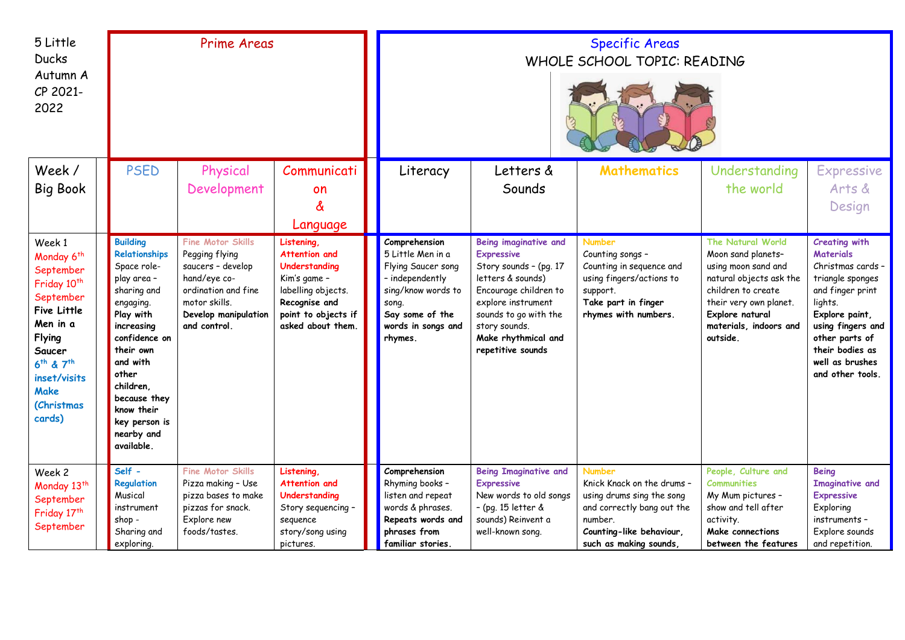| 5 Little<br><b>Ducks</b><br>Autumn A<br>CP 2021-<br>2022                                                                                                                                                                         | <b>Prime Areas</b>                                                                                                                                                                                                                                               |                                                                                                                                                                 |                                                                                                                                                 | <b>Specific Areas</b><br>WHOLE SCHOOL TOPIC: READING                                                                                                           |                                                                                                                                                                                                                                |                                                                                                                                                                        |                                                                                                                                                                                                           |                                                                                                                                                                                                                                     |  |
|----------------------------------------------------------------------------------------------------------------------------------------------------------------------------------------------------------------------------------|------------------------------------------------------------------------------------------------------------------------------------------------------------------------------------------------------------------------------------------------------------------|-----------------------------------------------------------------------------------------------------------------------------------------------------------------|-------------------------------------------------------------------------------------------------------------------------------------------------|----------------------------------------------------------------------------------------------------------------------------------------------------------------|--------------------------------------------------------------------------------------------------------------------------------------------------------------------------------------------------------------------------------|------------------------------------------------------------------------------------------------------------------------------------------------------------------------|-----------------------------------------------------------------------------------------------------------------------------------------------------------------------------------------------------------|-------------------------------------------------------------------------------------------------------------------------------------------------------------------------------------------------------------------------------------|--|
| Week /<br><b>Big Book</b>                                                                                                                                                                                                        | <b>PSED</b>                                                                                                                                                                                                                                                      | Physical<br>Development                                                                                                                                         | Communicati<br>on<br>&<br>Language                                                                                                              | Literacy                                                                                                                                                       | Letters &<br>Sounds                                                                                                                                                                                                            | <b>Mathematics</b>                                                                                                                                                     | Understanding<br>the world                                                                                                                                                                                | <b>Expressive</b><br>Arts &<br>Design                                                                                                                                                                                               |  |
| Week 1<br>Monday 6 <sup>th</sup><br>September<br>Friday 10 <sup>th</sup><br>September<br>Five Little<br>Men in a<br><b>Flying</b><br>Saucer<br>6 <sup>th</sup> & 7 <sup>th</sup><br>inset/visits<br>Make<br>(Christmas<br>cards) | <b>Building</b><br>Relationships<br>Space role-<br>play area -<br>sharing and<br>engaging.<br>Play with<br>increasing<br>confidence on<br>their own<br>and with<br>other<br>children.<br>because they<br>know their<br>key person is<br>nearby and<br>available. | <b>Fine Motor Skills</b><br>Pegging flying<br>saucers - develop<br>hand/eye co-<br>ordination and fine<br>motor skills.<br>Develop manipulation<br>and control. | Listening.<br>Attention and<br>Understanding<br>Kim's game -<br>labelling objects.<br>Recognise and<br>point to objects if<br>asked about them. | Comprehension<br>5 Little Men in a<br>Flying Saucer song<br>- independently<br>sing/know words to<br>song.<br>Say some of the<br>words in songs and<br>rhymes. | Being imaginative and<br><b>Expressive</b><br>Story sounds - (pg. 17<br>letters & sounds)<br>Encourage children to<br>explore instrument<br>sounds to go with the<br>story sounds.<br>Make rhythmical and<br>repetitive sounds | <b>Number</b><br>Counting songs -<br>Counting in sequence and<br>using fingers/actions to<br>support.<br>Take part in finger<br>rhymes with numbers.                   | <b>The Natural World</b><br>Moon sand planets-<br>using moon sand and<br>natural objects ask the<br>children to create<br>their very own planet.<br>Explore natural<br>materials, indoors and<br>outside. | <b>Creating with</b><br><b>Materials</b><br>Christmas cards -<br>triangle sponges<br>and finger print<br>lights.<br>Explore paint,<br>using fingers and<br>other parts of<br>their bodies as<br>well as brushes<br>and other tools. |  |
| Week 2<br>Monday 13 <sup>th</sup><br>September<br>Friday 17th<br>September                                                                                                                                                       | Self -<br>Regulation<br>Musical<br>instrument<br>shop -<br>Sharing and<br>exploring.                                                                                                                                                                             | Fine Motor Skills<br>Pizza making - Use<br>pizza bases to make<br>pizzas for snack.<br>Explore new<br>foods/tastes.                                             | Listening,<br>Attention and<br>Understanding<br>Story sequencing -<br>sequence<br>story/song using<br>pictures.                                 | Comprehension<br>Rhyming books -<br>listen and repeat<br>words & phrases.<br>Repeats words and<br>phrases from<br>familiar stories.                            | <b>Being Imaginative and</b><br><b>Expressive</b><br>New words to old songs<br>- (pg. 15 letter &<br>sounds) Reinvent a<br>well-known song.                                                                                    | <b>Number</b><br>Knick Knack on the drums -<br>using drums sing the song<br>and correctly bang out the<br>number.<br>Counting-like behaviour,<br>such as making sounds | People, Culture and<br><b>Communities</b><br>My Mum pictures -<br>show and tell after<br>activity.<br><b>Make connections</b><br>between the features                                                     | <b>Being</b><br><b>Imaginative and</b><br><b>Expressive</b><br>Exploring<br>instruments -<br>Explore sounds<br>and repetition.                                                                                                      |  |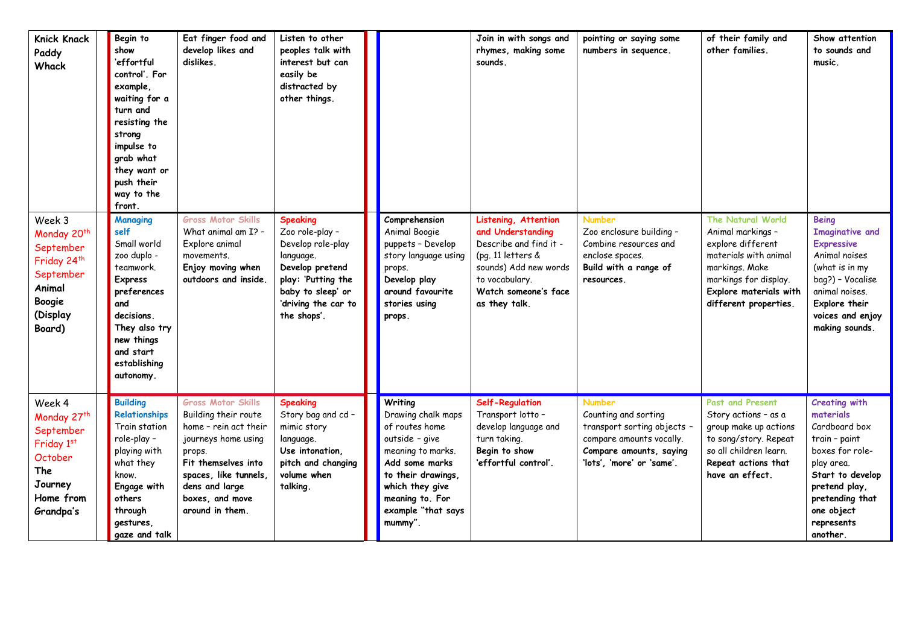| Knick Knack<br>Paddy<br>Whack                                                                                                           | Begin to<br>show<br>'effortful<br>control'. For<br>example,<br>waiting for a<br>turn and<br>resisting the<br>strong<br>impulse to<br>grab what<br>they want or<br>push their<br>way to the<br>front. | Eat finger food and<br>develop likes and<br>dislikes.                                                                                                                                                               | Listen to other<br>peoples talk with<br>interest but can<br>easily be<br>distracted by<br>other things.                                                                  |                                                                                                                                                                                                       | Join in with songs and<br>rhymes, making some<br>sounds.                                                                                                                     | pointing or saying some<br>numbers in sequence.                                                                                                          | of their family and<br>other families.                                                                                                                                             | Show attention<br>to sounds and<br>music.                                                                                                                                                            |
|-----------------------------------------------------------------------------------------------------------------------------------------|------------------------------------------------------------------------------------------------------------------------------------------------------------------------------------------------------|---------------------------------------------------------------------------------------------------------------------------------------------------------------------------------------------------------------------|--------------------------------------------------------------------------------------------------------------------------------------------------------------------------|-------------------------------------------------------------------------------------------------------------------------------------------------------------------------------------------------------|------------------------------------------------------------------------------------------------------------------------------------------------------------------------------|----------------------------------------------------------------------------------------------------------------------------------------------------------|------------------------------------------------------------------------------------------------------------------------------------------------------------------------------------|------------------------------------------------------------------------------------------------------------------------------------------------------------------------------------------------------|
| Week 3<br>Monday 20 <sup>th</sup><br>September<br>Friday 24 <sup>th</sup><br>September<br>Animal<br><b>Boogie</b><br>(Display<br>Board) | Managing<br>self<br>Small world<br>zoo duplo -<br>teamwork.<br><b>Express</b><br>preferences<br>and<br>decisions.<br>They also try<br>new things<br>and start<br>establishing<br>autonomy.           | <b>Gross Motor Skills</b><br>What animal am I? -<br>Explore animal<br>movements.<br>Enjoy moving when<br>outdoors and inside.                                                                                       | <b>Speaking</b><br>Zoo role-play -<br>Develop role-play<br>language.<br>Develop pretend<br>play: 'Putting the<br>baby to sleep' or<br>'driving the car to<br>the shops'. | Comprehension<br>Animal Boogie<br>puppets - Develop<br>story language using<br>props.<br>Develop play<br>around favourite<br>stories using<br>props.                                                  | Listening, Attention<br>and Understanding<br>Describe and find it -<br>(pg. 11 letters &<br>sounds) Add new words<br>to vocabulary.<br>Watch someone's face<br>as they talk. | <b>Number</b><br>Zoo enclosure building -<br>Combine resources and<br>enclose spaces.<br>Build with a range of<br>resources.                             | The Natural World<br>Animal markings -<br>explore different<br>materials with animal<br>markings. Make<br>markings for display.<br>Explore materials with<br>different properties. | <b>Being</b><br><b>Imaginative and</b><br><b>Expressive</b><br>Animal noises<br>(what is in my<br>bag?) - Vocalise<br>animal noises.<br>Explore their<br>voices and enjoy<br>making sounds.          |
| Week 4<br>Monday 27 <sup>th</sup><br>September<br>Friday 1st<br>October<br>The<br>Journey<br>Home from<br>Grandpa's                     | <b>Building</b><br>Relationships<br>Train station<br>role-play -<br>playing with<br>what they<br>know.<br>Engage with<br>others<br>through<br>gestures,<br>gaze and talk                             | <b>Gross Motor Skills</b><br>Building their route<br>home - rein act their<br>journeys home using<br>props.<br>Fit themselves into<br>spaces, like tunnels,<br>dens and large<br>boxes, and move<br>around in them. | <b>Speaking</b><br>Story bag and cd -<br>mimic story<br>language.<br>Use intonation,<br>pitch and changing<br>volume when<br>talking.                                    | Writing<br>Drawing chalk maps<br>of routes home<br>outside - give<br>meaning to marks.<br>Add some marks<br>to their drawings,<br>which they give<br>meaning to. For<br>example "that says<br>mummy". | <b>Self-Regulation</b><br>Transport lotto -<br>develop language and<br>turn taking.<br>Begin to show<br>'effortful control'.                                                 | <b>Number</b><br>Counting and sorting<br>transport sorting objects -<br>compare amounts vocally.<br>Compare amounts, saying<br>'lots', 'more' or 'same'. | <b>Past and Present</b><br>Story actions - as a<br>group make up actions<br>to song/story. Repeat<br>so all children learn.<br>Repeat actions that<br>have an effect.              | <b>Creating with</b><br>materials<br>Cardboard box<br>train - paint<br>boxes for role-<br>play area.<br>Start to develop<br>pretend play,<br>pretending that<br>one object<br>represents<br>another. |